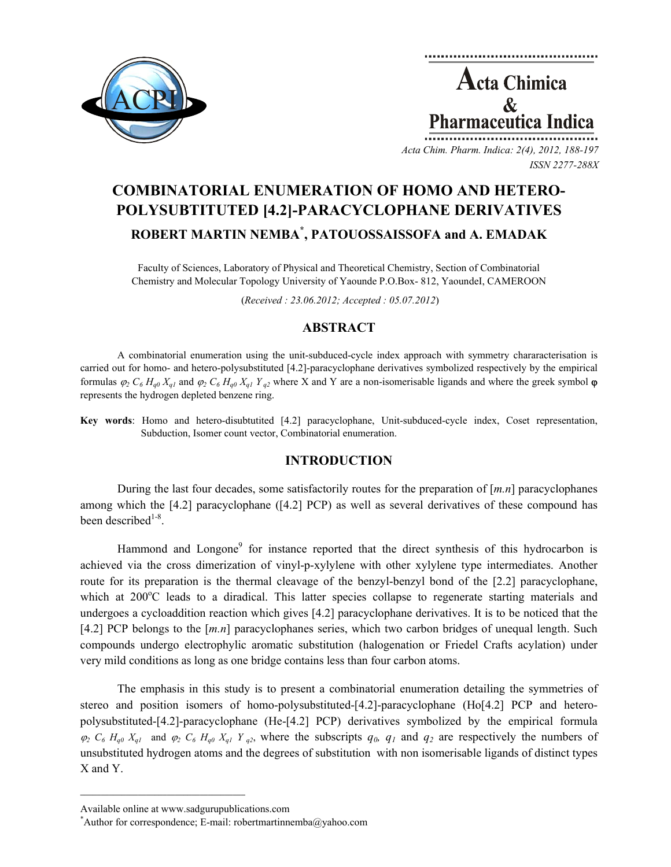

**Acta Chimica**  $\mathcal{R}_{I}$ harmaceutica Ind

*Acta Chim. Pharm. Indica: 2(4), 2012, 188-197 ISSN 2277-288X*

# **COMBINATORIAL ENUMERATION OF HOMO AND HETERO-POLYSUBTITUTED [4.2]-PARACYCLOPHANE DERIVATIVES ROBERT MARTIN NEMBA\* , PATOUOSSAISSOFA and A. EMADAK**

Faculty of Sciences, Laboratory of Physical and Theoretical Chemistry, Section of Combinatorial Chemistry and Molecular Topology University of Yaounde P.O.Box- 812, YaoundeI, CAMEROON

(*Received : 23.06.2012; Accepted : 05.07.2012*)

# **ABSTRACT**

A combinatorial enumeration using the unit-subduced-cycle index approach with symmetry chararacterisation is carried out for homo- and hetero-polysubstituted [4.2]-paracyclophane derivatives symbolized respectively by the empirical formulas  $\varphi_2 C_6 H_{q0} X_{q1}$  and  $\varphi_2 C_6 H_{q0} X_{q1} Y_{q2}$  where X and Y are a non-isomerisable ligands and where the greek symbol  $\varphi$ represents the hydrogen depleted benzene ring.

**Key words**: Homo and hetero-disubtutited [4.2] paracyclophane, Unit-subduced-cycle index, Coset representation, Subduction, Isomer count vector, Combinatorial enumeration.

### **INTRODUCTION**

During the last four decades, some satisfactorily routes for the preparation of [*m.n*] paracyclophanes among which the [4.2] paracyclophane ([4.2] PCP) as well as several derivatives of these compound has been described $1-8$ .

Hammond and Longone<sup>9</sup> for instance reported that the direct synthesis of this hydrocarbon is achieved via the cross dimerization of vinyl-p-xylylene with other xylylene type intermediates. Another route for its preparation is the thermal cleavage of the benzyl-benzyl bond of the [2.2] paracyclophane, which at 200°C leads to a diradical. This latter species collapse to regenerate starting materials and undergoes a cycloaddition reaction which gives [4.2] paracyclophane derivatives. It is to be noticed that the [4.2] PCP belongs to the [*m.n*] paracyclophanes series, which two carbon bridges of unequal length. Such compounds undergo electrophylic aromatic substitution (halogenation or Friedel Crafts acylation) under very mild conditions as long as one bridge contains less than four carbon atoms.

The emphasis in this study is to present a combinatorial enumeration detailing the symmetries of stereo and position isomers of homo-polysubstituted-[4.2]-paracyclophane (Ho[4.2] PCP and heteropolysubstituted-[4.2]-paracyclophane (He-[4.2] PCP) derivatives symbolized by the empirical formula  $\varphi_2$   $C_6$   $H_{q0}$   $X_{q1}$  and  $\varphi_2$   $C_6$   $H_{q0}$   $X_{q1}$   $Y_{q2}$ , where the subscripts  $q_0$ ,  $q_1$  and  $q_2$  are respectively the numbers of unsubstituted hydrogen atoms and the degrees of substitution with non isomerisable ligands of distinct types X and Y.

 $\mathcal{L}=\{1,2,3,4,5\}$ 

Available online at www.sadgurupublications.com \*

<sup>\*</sup>Author for correspondence; E-mail: robertmartinnemba@yahoo.com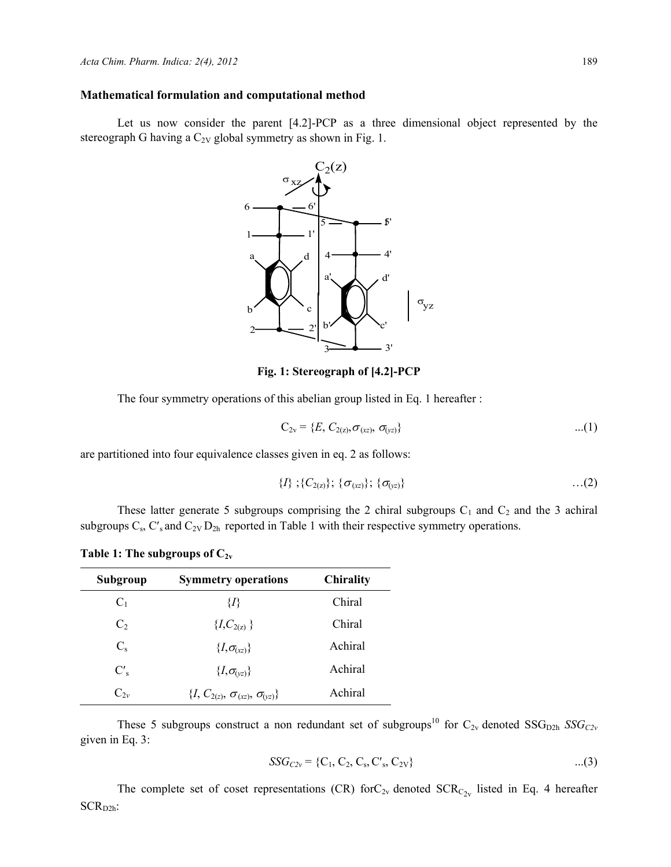### **Mathematical formulation and computational method**

Let us now consider the parent [4.2]-PCP as a three dimensional object represented by the stereograph G having a  $C_{2V}$  global symmetry as shown in Fig. 1.



**Fig. 1: Stereograph of [4.2]-PCP** 

The four symmetry operations of this abelian group listed in Eq. 1 hereafter :

$$
C_{2v} = \{E, C_{2(z)}, \sigma_{(xz)}, \sigma_{(yz)}\}
$$
...(1)

are partitioned into four equivalence classes given in eq. 2 as follows:

$$
{D; (C_{2(2)}); (\sigma_{(xz)}; (\sigma_{(yz)})} \qquad \qquad \ldots (2)
$$

These latter generate 5 subgroups comprising the 2 chiral subgroups  $C_1$  and  $C_2$  and the 3 achiral subgroups  $C_s$ ,  $C_s$  and  $C_{2V} D_{2h}$  reported in Table 1 with their respective symmetry operations.

| Table 1: The subgroups of $C_{2v}$ |  |  |  |
|------------------------------------|--|--|--|
|------------------------------------|--|--|--|

| Subgroup       | <b>Symmetry operations</b>                      | <b>Chirality</b> |
|----------------|-------------------------------------------------|------------------|
| $C_1$          | {1}                                             | Chiral           |
| C <sub>2</sub> | $\{I, C_{2(z)}\}$                               | Chiral           |
| $C_{\rm s}$    | $\{I, \sigma_{(xz)}\}$                          | Achiral          |
| $C'_{s}$       | $\{I, \sigma_{(vz)}\}$                          | Achiral          |
| $C_{2v}$       | $\{I, C_{2(z)}, \sigma_{(xz)}, \sigma_{(yz)}\}$ | Achiral          |

These 5 subgroups construct a non redundant set of subgroups<sup>10</sup> for  $C_{2v}$  denoted  $SSG_{D2h}$  *SSG<sub>C2v</sub>* given in Eq. 3:

$$
SSG_{C2v} = \{C_1, C_2, C_s, C'_s, C_{2v}\}\qquad \qquad \dots (3)
$$

The complete set of coset representations (CR) for  $C_{2v}$  denoted  $SCR_{C_{2v}}$  listed in Eq. 4 hereafter  $SCR<sub>D2h</sub>$ :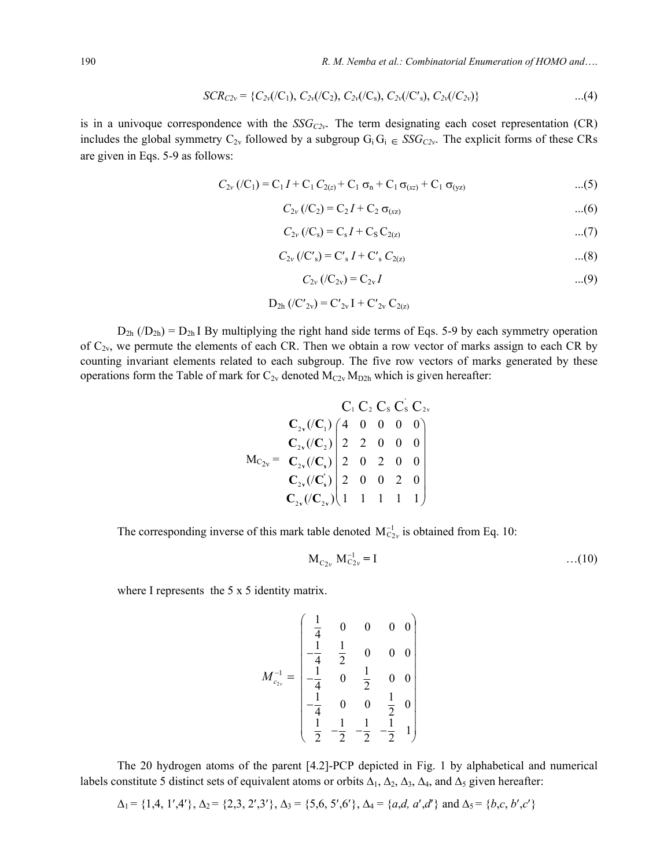$$
SCR_{C2v} = \{C_{2v}((C_1), C_{2v}((C_2), C_{2v}((C_s), C_{2v}((C'_s), C_{2v}((C_{2v}))\})\tag{4}
$$

is in a univoque correspondence with the  $SSG_{C2v}$ . The term designating each coset representation (CR) includes the global symmetry  $C_{2v}$  followed by a subgroup  $G_i G_i \in SSG_{C2v}$ . The explicit forms of these CRs are given in Eqs. 5-9 as follows:

$$
C_{2v} (/C_1) = C_1 I + C_1 C_{2(z)} + C_1 \sigma_n + C_1 \sigma_{(xz)} + C_1 \sigma_{(yz)}
$$
...(5)

$$
C_{2v} (/C_2) = C_2 I + C_2 \sigma_{(xz)}
$$
...(6)

$$
C_{2v} ( / C_s) = C_s I + C_S C_{2(z)}
$$
...(7)

$$
C_{2v} ( /C'_{s}) = C'_{s} I + C'_{s} C_{2(z)}
$$
...(8)

$$
C_{2v} (/C_{2v}) = C_{2v} I
$$
 ...(9)

$$
D_{2h} ( /C'_{2v} ) = C'_{2v} I + C'_{2v} C_{2(z)}
$$

 $D_{2h}$  ( $/D_{2h}$ ) =  $D_{2h}$  I By multiplying the right hand side terms of Eqs. 5-9 by each symmetry operation of  $C_{2v}$ , we permute the elements of each CR. Then we obtain a row vector of marks assign to each CR by counting invariant elements related to each subgroup. The five row vectors of marks generated by these operations form the Table of mark for  $C_{2v}$  denoted  $M_{C2v} M_{D2h}$  which is given hereafter:

$$
C_1 C_2 C_3 C_3 C_2 v
$$
  
\n
$$
C_{2v} (C_1) \begin{pmatrix} 4 & 0 & 0 & 0 & 0 \\ 2 & 2 & 0 & 0 & 0 & 0 \\ 0 & C_{2v} (C_2) & 2 & 2 & 0 & 0 & 0 \\ 0 & C_{2v} (C_3) & 2 & 0 & 2 & 0 & 0 \\ 0 & C_{2v} (C_2) & 2 & 0 & 0 & 2 & 0 \\ 0 & 2 & 0 & 2 & 0 & 0 & 0 \\ C_{2v} (C_2) & 1 & 1 & 1 & 1 & 1 \end{pmatrix}
$$

The corresponding inverse of this mark table denoted  $M_{C_{2v}}^{-1}$  is obtained from Eq. 10:

$$
M_{C_{2v}} M_{C_{2v}}^{-1} = I
$$
 ... (10)

where I represents the 5 x 5 identity matrix.

$$
M_{c_{2v}}^{-1} = \begin{pmatrix} \frac{1}{4} & 0 & 0 & 0 & 0 \\ -\frac{1}{4} & \frac{1}{2} & 0 & 0 & 0 \\ -\frac{1}{4} & 0 & \frac{1}{2} & 0 & 0 \\ -\frac{1}{4} & 0 & 0 & \frac{1}{2} & 0 \\ \frac{1}{2} & -\frac{1}{2} & -\frac{1}{2} & -\frac{1}{2} & 1 \end{pmatrix}
$$

The 20 hydrogen atoms of the parent [4.2]-PCP depicted in Fig. 1 by alphabetical and numerical labels constitute 5 distinct sets of equivalent atoms or orbits  $\Delta_1$ ,  $\Delta_2$ ,  $\Delta_3$ ,  $\Delta_4$ , and  $\Delta_5$  given hereafter:

$$
\Delta_1 = \{1,4, 1',4'\}, \Delta_2 = \{2,3, 2',3'\}, \Delta_3 = \{5,6, 5',6'\}, \Delta_4 = \{a,d, a',d'\} \text{ and } \Delta_5 = \{b,c, b',c'\}
$$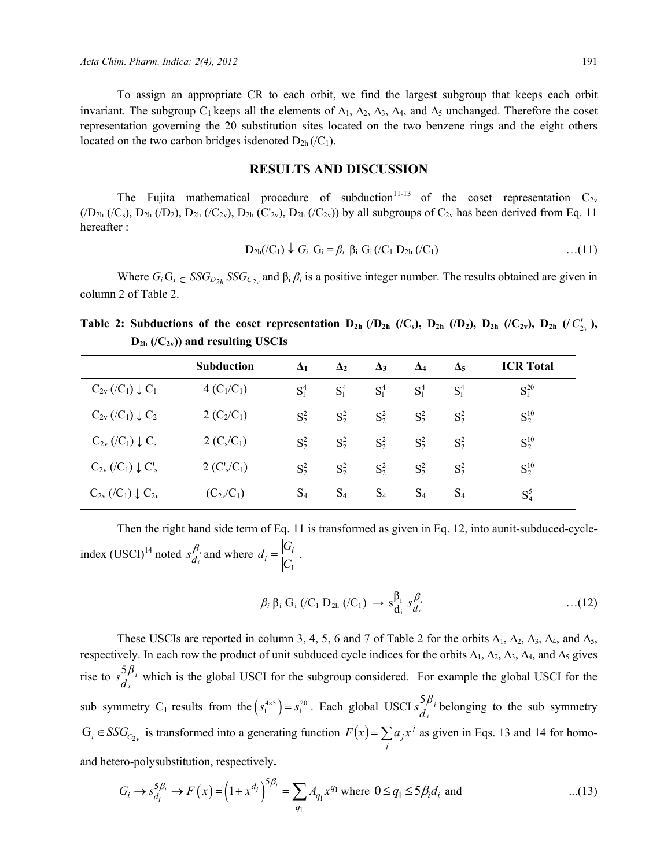To assign an appropriate CR to each orbit, we find the largest subgroup that keeps each orbit invariant. The subgroup C<sub>1</sub> keeps all the elements of  $\Delta_1$ ,  $\Delta_2$ ,  $\Delta_3$ ,  $\Delta_4$ , and  $\Delta_5$  unchanged. Therefore the coset representation governing the 20 substitution sites located on the two benzene rings and the eight others located on the two carbon bridges isdenoted  $D_{2h}$  (/C<sub>1</sub>).

### **RESULTS AND DISCUSSION**

The Fujita mathematical procedure of subduction<sup>11-13</sup> of the coset representation  $C_{2v}$  $(D_{2h}$  ( $/C_s$ ),  $D_{2h}$  ( $/D_2$ ),  $D_{2h}$  ( $/C_{2v}$ ),  $D_{2h}$  ( $/C_{2v}$ ),  $D_{2h}$  ( $/C_{2v}$ )) by all subgroups of  $C_{2v}$  has been derived from Eq. 11 hereafter :

$$
D_{2h}(C_1) \downarrow G_i \ G_i = \beta_i \ \beta_i \ G_i (C_1 \ D_{2h} (C_1) \ \ldots (11)
$$

Where  $G_i$   $G_i \in SSG_{D2h}$  *SSG<sub>C2v</sub>* and  $\beta_i$   $\beta_i$  is a positive integer number. The results obtained are given in column 2 of Table 2.

**Table 2: Subductions of the coset representation**  $D_{2h}$  **(/D<sub>2h</sub> (/C<sub>s</sub>),**  $D_{2h}$  **(/D<sub>2</sub>),**  $D_{2h}$  **(/C<sub>2v</sub>),**  $D_{2h}$  **(/C<sub>2v</sub>),**  $D_{2h}$  ( $/C_{2v}$ )) and resulting USCIs

|                                                          | <b>Subduction</b> | $\mathbf{\Delta}_1$ | $\Delta_2$ | $\Delta_3$ | $\Delta_4$ | $\Delta_5$ | <b>ICR</b> Total |
|----------------------------------------------------------|-------------------|---------------------|------------|------------|------------|------------|------------------|
| $C_{2v}$ (/C <sub>1</sub> ) $\downarrow$ C <sub>1</sub>  | $4(C_1/C_1)$      | $S_1^4$             | $S_1^4$    | $S_1^4$    | $S_1^4$    | $S_1^4$    | $S_1^{20}$       |
| $C_{2v}$ (/C <sub>1</sub> ) $\downarrow$ C <sub>2</sub>  | 2 $(C_2/C_1)$     | $S_2^2$             | $S_2^2$    | $S_2^2$    | $S^2$      | $S^2$      | $S_2^{10}$       |
| $C_{2v}$ (/C <sub>1</sub> ) $\downarrow$ C <sub>s</sub>  | 2 $(C_s/C_1)$     | $S_2^2$             | $S_2^2$    | $S_2^2$    | $S_2^2$    | $S_2^2$    | $S_2^{10}$       |
| $C_{2v}$ (/C <sub>1</sub> ) $\downarrow$ C' <sub>s</sub> | 2 $(C_s/C_1)$     | $S_2^2$             | $S_2^2$    | $S_2^2$    | $S^2$      | $S^2$      | $S_2^{10}$       |
| $C_{2v}$ (/C <sub>1</sub> ) $\downarrow$ C <sub>2v</sub> | $(C_{2\nu}/C_1)$  | $S_4$               | $S_4$      | $S_4$      | $S_4$      | $S_4$      | $S_4^5$          |

Then the right hand side term of Eq. 11 is transformed as given in Eq. 12, into aunit-subduced-cycleindex (USCI)<sup>14</sup> noted  $s_{d_i}^{\beta_i}$  and where  $C<sub>1</sub>$  $d_i = \frac{|G_i|}{|G|}.$ 

$$
\beta_i \beta_i G_i \left( /C_1 D_{2h} \left( /C_1 \right) \rightarrow s_{d_i}^{\beta_i} s_{d_i}^{\beta_i} \right) \qquad \qquad \dots (12)
$$

These USCIs are reported in column 3, 4, 5, 6 and 7 of Table 2 for the orbits  $\Delta_1$ ,  $\Delta_2$ ,  $\Delta_3$ ,  $\Delta_4$ , and  $\Delta_5$ , respectively. In each row the product of unit subduced cycle indices for the orbits  $\Delta_1$ ,  $\Delta_2$ ,  $\Delta_3$ ,  $\Delta_4$ , and  $\Delta_5$  gives rise to  $s_{d_i}^{5\beta_i}$  which is the global USCI for the subgroup considered. For example the global USCI for the sub symmetry C<sub>1</sub> results from the  $(s_1^{4\times5}) = s_1^{20}$ . Each global USCI  $s_{d_i}^{5\beta_i}$  belonging to the sub symmetry  $G_i \in SSG_{C_{2v}}$  is transformed into a generating function  $F(x) = \sum_{j}$  $F(x) = \sum a_j x^j$  as given in Eqs. 13 and 14 for homoand hetero-polysubstitution, respectively**.** 

$$
G_i \to s_{d_i}^{5\beta_i} \to F(x) = (1 + x^{d_i})^{5\beta_i} = \sum_{q_1} A_{q_1} x^{q_1} \text{ where } 0 \le q_1 \le 5\beta_i d_i \text{ and } ...(13)
$$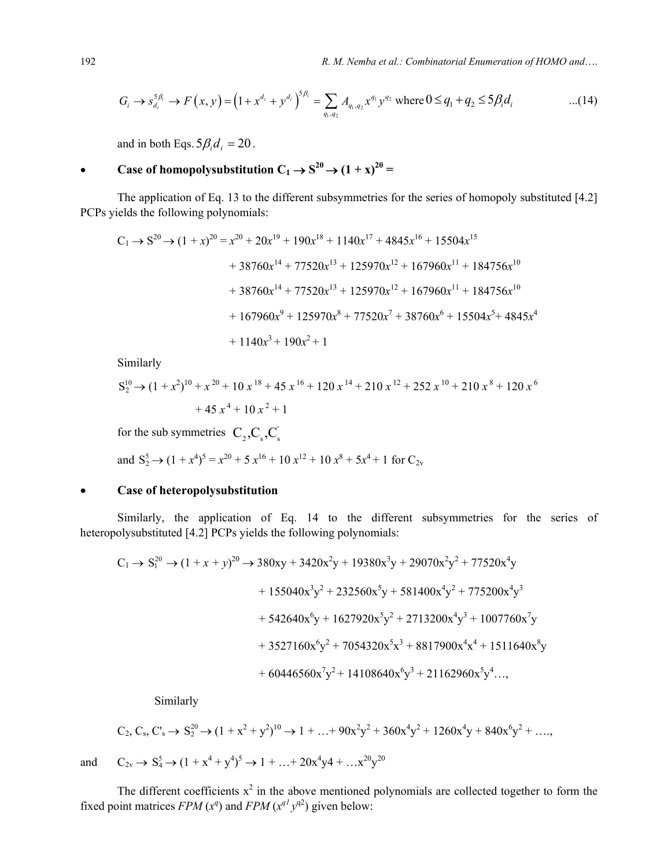$$
G_i \to s_{d_i}^{5\beta_i} \to F(x, y) = (1 + x^{d_i} + y^{d_i})^{5\beta_i} = \sum_{q_1, q_2} A_{q_1, q_2} x^{q_1} y^{q_2} \text{ where } 0 \le q_1 + q_2 \le 5\beta_i d_i \quad ...(14)
$$

and in both Eqs.  $5\beta_i d_i = 20$ .

# • **Case of homopolysubstitution**  $C_1 \rightarrow S^{20} \rightarrow (1 + x)^{20} =$

The application of Eq. 13 to the different subsymmetries for the series of homopoly substituted [4.2] PCPs yields the following polynomials:

$$
C_1 \rightarrow S^{20} \rightarrow (1+x)^{20} = x^{20} + 20x^{19} + 190x^{18} + 1140x^{17} + 4845x^{16} + 15504x^{15}
$$
  
+ 38760x<sup>14</sup> + 77520x<sup>13</sup> + 125970x<sup>12</sup> + 167960x<sup>11</sup> + 184756x<sup>10</sup>  
+ 38760x<sup>14</sup> + 77520x<sup>13</sup> + 125970x<sup>12</sup> + 167960x<sup>11</sup> + 184756x<sup>10</sup>  
+ 167960x<sup>9</sup> + 125970x<sup>8</sup> + 77520x<sup>7</sup> + 38760x<sup>6</sup> + 15504x<sup>5</sup> + 4845x<sup>4</sup>  
+ 1140x<sup>3</sup> + 190x<sup>2</sup> + 1

Similarly

$$
S_2^{10} \rightarrow (1 + x^2)^{10} + x^{20} + 10x^{18} + 45x^{16} + 120x^{14} + 210x^{12} + 252x^{10} + 210x^8 + 120x^6
$$
  
+ 45x<sup>4</sup> + 10x<sup>2</sup> + 1

for the sub symmetries  $C_2, C_s, C_s$ 

and 
$$
S_2^5 \rightarrow (1 + x^4)^5 = x^{20} + 5x^{16} + 10x^{12} + 10x^8 + 5x^4 + 1
$$
 for  $C_{2v}$ 

### • **Case of heteropolysubstitution**

Similarly, the application of Eq. 14 to the different subsymmetries for the series of heteropolysubstituted [4.2] PCPs yields the following polynomials:

$$
C_1 \rightarrow S_1^{20} \rightarrow (1 + x + y)^{20} \rightarrow 380xy + 3420x^2y + 19380x^3y + 29070x^2y^2 + 77520x^4y
$$
  
+ 155040x^3y^2 + 232560x^5y + 581400x^4y^2 + 775200x^4y^3  
+ 542640x^6y + 1627920x^5y^2 + 2713200x^4y^3 + 1007760x^7y  
+ 3527160x^6y^2 + 7054320x^5x^3 + 8817900x^4x^4 + 1511640x^8y  
+ 60446560x^7y^2 + 14108640x^6y^3 + 21162960x^5y^4...,

Similarly

$$
C_2, C_s, C_s' \to S_2^{20} \to (1 + x^2 + y^2)^{10} \to 1 + ... + 90x^2y^2 + 360x^4y^2 + 1260x^4y + 840x^6y^2 + ...,
$$
  
and 
$$
C_{2v} \to S_4^5 \to (1 + x^4 + y^4)^5 \to 1 + ... + 20x^4y^4 + ...x^{20}y^{20}
$$

The different coefficients  $x^2$  in the above mentioned polynomials are collected together to form the fixed point matrices *FPM*  $(x^q)$  and *FPM*  $(x^{q} y^{q^2})$  given below: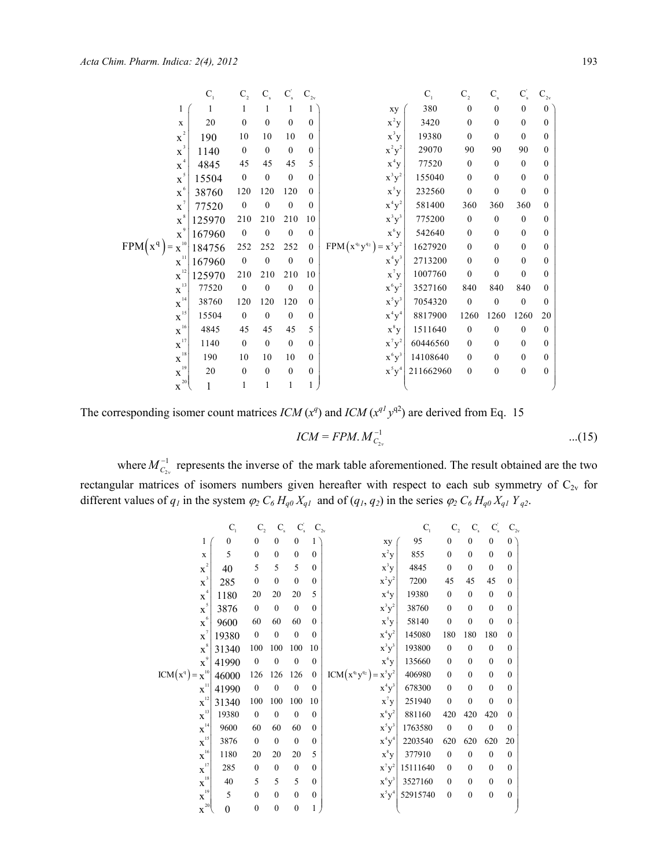|                                                      | $C_{1}$ | C <sub>2</sub>   | $C_{s}$          | $\textbf{C}_\textup{s}^\prime$ | $\mathbf{C}_{\text{2v}}$ |                                | $C_{1}$   | $C_{2}$          | $C_{s}$          | $C_{s}$          | $C_{2v}$ |
|------------------------------------------------------|---------|------------------|------------------|--------------------------------|--------------------------|--------------------------------|-----------|------------------|------------------|------------------|----------|
| 1                                                    | 1       | 1                | 1                | 1                              | 1                        | xy                             | 380       | $\mathbf{0}$     | $\mathbf{0}$     | $\overline{0}$   | $\Omega$ |
| $\mathbf X$                                          | 20      | $\mathbf{0}$     | $\mathbf{0}$     | $\mathbf{0}$                   | $\mathbf{0}$             | $x^2y$                         | 3420      | $\boldsymbol{0}$ | $\mathbf{0}$     | $\mathbf{0}$     | $\theta$ |
| $\overline{2}$<br>$\mathbf{X}$                       | 190     | 10               | 10               | 10                             | $\mathbf{0}$             | $x^3y$                         | 19380     | $\mathbf{0}$     | $\mathbf{0}$     | $\mathbf{0}$     | 0        |
| $\mathbf{x}^{^3}$                                    | 1140    | $\mathbf{0}$     | $\mathbf{0}$     | $\mathbf{0}$                   | $\mathbf{0}$             | $\mathbf{x}^2\mathbf{y}^2$     | 29070     | 90               | 90               | 90               | $\theta$ |
| $\overline{4}$<br>$\mathbf X$                        | 4845    | 45               | 45               | 45                             | 5                        | $x^4y$                         | 77520     | $\mathbf{0}$     | $\mathbf{0}$     | $\mathbf{0}$     | 0        |
| $\mathbf{x}^{\mathfrak{s}}$                          | 15504   | $\mathbf{0}$     | $\mathbf{0}$     | $\mathbf{0}$                   | $\mathbf{0}$             | $x^3y^2$                       | 155040    | $\mathbf{0}$     | $\mathbf{0}$     | $\mathbf{0}$     | 0        |
| $\mbox{\textbf{x}}^{\,6}$                            | 38760   | 120              | 120              | 120                            | $\mathbf{0}$             | $x^5y$                         | 232560    | $\boldsymbol{0}$ | $\boldsymbol{0}$ | $\mathbf{0}$     | 0        |
| $\mathbf x$                                          | 77520   | $\mathbf{0}$     | $\mathbf{0}$     | $\mathbf{0}$                   | $\mathbf{0}$             | $x^4y^2$                       | 581400    | 360              | 360              | 360              | 0        |
| $\mathbf{x}^*$                                       | 125970  | 210              | 210              | 210                            | 10                       | $x^3y^3$                       | 775200    | $\boldsymbol{0}$ | $\mathbf{0}$     | $\mathbf{0}$     | 0        |
| $\mathbf X$                                          | 167960  | $\boldsymbol{0}$ | $\boldsymbol{0}$ | $\boldsymbol{0}$               | $\boldsymbol{0}$         | $x^6y$                         | 542640    | $\boldsymbol{0}$ | $\boldsymbol{0}$ | $\mathbf{0}$     | 0        |
| $FPM(x^q) =$<br>$\cdot$ X <sup>10</sup> <sup>1</sup> | 184756  | 252              | 252              | 252                            | $\boldsymbol{0}$         | $FPM(x^{q_1}y^{q_2}) = x^5y^2$ | 1627920   | $\mathbf{0}$     | $\mathbf{0}$     | $\mathbf{0}$     | 0        |
| $\mathbf{x}^{\text{H}}$                              | 167960  | $\mathbf{0}$     | $\mathbf{0}$     | $\mathbf{0}$                   | $\mathbf{0}$             | $x^4y^3$                       | 2713200   | $\mathbf{0}$     | $\mathbf{0}$     | $\mathbf{0}$     | 0        |
| $\mathbf{X}^{^{12}}$                                 | 125970  | 210              | 210              | 210                            | 10                       | $x^7y$                         | 1007760   | $\mathbf{0}$     | $\mathbf{0}$     | $\mathbf{0}$     | $\theta$ |
| $\mathbf{X}^{13}$                                    | 77520   | $\mathbf{0}$     | $\mathbf{0}$     | $\mathbf{0}$                   | $\mathbf{0}$             | $x^6y^2$                       | 3527160   | 840              | 840              | 840              | 0        |
| $\mathbf{X}^{^{14}}$                                 | 38760   | 120              | 120              | 120                            | $\mathbf{0}$             | $x^5y^3$                       | 7054320   | $\boldsymbol{0}$ | $\boldsymbol{0}$ | $\mathbf{0}$     | 0        |
| $\mathbf{x}^{^{15}}$                                 | 15504   | $\mathbf{0}$     | $\mathbf{0}$     | $\mathbf{0}$                   | $\mathbf{0}$             | $x^4y^4$                       | 8817900   | 1260             | 1260             | 1260             | 20       |
| $\mathbf{X}^{16}$                                    | 4845    | 45               | 45               | 45                             | 5                        | $x^8y$                         | 1511640   | $\boldsymbol{0}$ | $\mathbf{0}$     | $\mathbf{0}$     | 0        |
| $\mathbf{x}^{^{17}}$                                 | 1140    | $\mathbf{0}$     | $\mathbf{0}$     | $\mathbf{0}$                   | $\mathbf{0}$             | $x^7y^2$                       | 60446560  | $\mathbf{0}$     | $\mathbf{0}$     | $\mathbf{0}$     | 0        |
| $\mathbf{x}^{\text{18}^{\text{I}}}$                  | 190     | 10               | 10               | 10                             | $\mathbf{0}$             | $x^6y^3$                       | 14108640  | $\mathbf{0}$     | $\mathbf{0}$     | $\mathbf{0}$     | 0        |
| $\mathbf{X}^{19}$                                    | 20      | $\mathbf{0}$     | $\theta$         | $\overline{0}$                 | $\boldsymbol{0}$         | $x^5y^4$                       | 211662960 | $\boldsymbol{0}$ | $\boldsymbol{0}$ | $\boldsymbol{0}$ | 0        |
| $\mbox{\bf X}^{201}$                                 |         |                  | 1                | 1                              |                          |                                |           |                  |                  |                  |          |

The corresponding isomer count matrices  $ICM(x^q)$  and  $ICM(x^{q}y^{q^2})$  are derived from Eq. 15

$$
ICM = FPM. M_{C_{2v}}^{-1} \qquad \qquad \dots (15)
$$

where  $M_{C_{2\nu}}^{-1}$  represents the inverse of the mark table aforementioned. The result obtained are the two rectangular matrices of isomers numbers given hereafter with respect to each sub symmetry of  $C_{2v}$  for different values of  $q_1$  in the system  $\varphi_2 C_6 H_{q0} X_{q1}$  and of  $(q_1, q_2)$  in the series  $\varphi_2 C_6 H_{q0} X_{q1} Y_{q2}$ .

|                                 | $C_{1}$      | $C_{2}$          | $C_{\hbox{\tiny s}}$ | $C_{\rm s}$      | $C_{2v}$         |                                | $\mathbf{C}_{\text{\tiny{l}}}$ | $C_{2}$          | $\mathbf{C}_\mathrm{s}$ | $C_{\rm s}$  | $C_{2v}$     |
|---------------------------------|--------------|------------------|----------------------|------------------|------------------|--------------------------------|--------------------------------|------------------|-------------------------|--------------|--------------|
| 1                               | $\mathbf{0}$ | $\mathbf{0}$     | $\mathbf{0}$         | $\boldsymbol{0}$ | 1                | xy                             | 95                             | $\boldsymbol{0}$ | $\mathbf{0}$            | $\mathbf{0}$ | $0^{\circ}$  |
| X                               | 5            | $\mathbf{0}$     | $\mathbf{0}$         | $\mathbf{0}$     | $\mathbf{0}$     | $x^2y$                         | 855                            | $\boldsymbol{0}$ | $\mathbf{0}$            | $\mathbf{0}$ | $\Omega$     |
| $\mathbf{x}^2$                  | 40           | 5                | 5                    | 5                | $\mathbf{0}$     | $x^3y$                         | 4845                           | $\boldsymbol{0}$ | $\mathbf{0}$            | $\Omega$     | $\theta$     |
| $\mathbf{x}^3$                  | 285          | $\mathbf{0}$     | $\mathbf{0}$         | $\mathbf{0}$     | $\mathbf{0}$     | $x^2y^2$                       | 7200                           | 45               | 45                      | 45           | $\Omega$     |
| $\mathbf{x}^4$                  | 1180         | 20               | 20                   | 20               | 5                | $x^4y$                         | 19380                          | $\boldsymbol{0}$ | $\mathbf{0}$            | $\mathbf{0}$ | $\theta$     |
| $\mathbf{x}^{\text{s}}$         | 3876         | $\mathbf{0}$     | $\mathbf{0}$         | $\mathbf{0}$     | $\mathbf{0}$     | $x^3y^2$                       | 38760                          | $\boldsymbol{0}$ | $\theta$                | $\mathbf{0}$ | $\theta$     |
| $\mathbf{x}^{\text{{\tiny 6}}}$ | 9600         | 60               | 60                   | 60               | $\mathbf{0}$     | $x^5y$                         | 58140                          | $\boldsymbol{0}$ | $\mathbf{0}$            | $\theta$     | $\theta$     |
| $\mathbf{x}^7$                  | 19380        | $\mathbf{0}$     | $\mathbf{0}$         | $\mathbf{0}$     | $\mathbf{0}$     | $x^4y^2$                       | 145080                         | 180              | 180                     | 180          | $\theta$     |
| $\mathbf{x}^s$                  | 31340        | 100              | 100                  | 100              | 10               | $x^3y^3$                       | 193800                         | $\mathbf{0}$     | $\mathbf{0}$            | $\mathbf{0}$ | $\theta$     |
| $\mathbf{x}^{\circ}$            | 41990        | $\boldsymbol{0}$ | 0                    | $\boldsymbol{0}$ | $\boldsymbol{0}$ | $x^6y$                         | 135660                         | $\boldsymbol{0}$ | $\mathbf{0}$            | $\mathbf{0}$ | $\theta$     |
| $ICM(x^q) = x^{10}$             | 46000        | 126              | 126                  | 126              | $\boldsymbol{0}$ | $ICM(x^{q_1}y^{q_2}) = x^5y^2$ | 406980                         | $\mathbf{0}$     | $\theta$                | $\theta$     | $\theta$     |
| $\mathbf{x}^{\text{II}}$        | 41990        | $\boldsymbol{0}$ | $\boldsymbol{0}$     | $\boldsymbol{0}$ | $\mathbf{0}$     | $x^4y^3$                       | 678300                         | $\boldsymbol{0}$ | $\theta$                | $\mathbf{0}$ | $\theta$     |
| $\mathbf{x}^{^{12}}$            | 31340        | 100              | 100                  | 100              | 10               | $x^7y$                         | 251940                         | $\mathbf{0}$     | $\mathbf{0}$            | $\mathbf{0}$ | $\theta$     |
| $\mathbf{x}^{^{13}}$            | 19380        | $\mathbf{0}$     | $\mathbf{0}$         | $\mathbf{0}$     | $\mathbf{0}$     | $x^6y^2$                       | 881160                         | 420              | 420                     | 420          | $\theta$     |
| $\mathbf{X}^{^{14}}$            | 9600         | 60               | 60                   | 60               | $\mathbf{0}$     | $x^5y^3$                       | 1763580                        | $\boldsymbol{0}$ | $\mathbf{0}$            | $\mathbf{0}$ | $\theta$     |
| $\mathbf{x}^{^{15}}$            | 3876         | $\mathbf{0}$     | $\mathbf{0}$         | $\mathbf{0}$     | $\mathbf{0}$     | $\mathbf{x}^4\mathbf{y}^4$     | 2203540                        | 620              | 620                     | 620          | 20           |
| $X^{16}$                        | 1180         | 20               | 20                   | 20               | 5                | $x^8y$                         | 377910                         | $\mathbf{0}$     | $\mathbf{0}$            | $\mathbf{0}$ | $\mathbf{0}$ |
| $\mathbf{X}^{17}$               | 285          | $\theta$         | $\theta$             | $\mathbf{0}$     | $\mathbf{0}$     | $x^7y^2$                       | 15111640                       | $\mathbf{0}$     | $\theta$                | $\theta$     | $\theta$     |
| $\mathbf{X}^{18}$               | 40           | 5                | 5                    | 5                | $\mathbf{0}$     | $x^6y^3$                       | 3527160                        | $\mathbf{0}$     | $\mathbf{0}$            | $\mathbf{0}$ | $\theta$     |
| $\mathbf{x}^{^{19} }$           | 5            | $\mathbf{0}$     | $\mathbf{0}$         | $\mathbf{0}$     | $\boldsymbol{0}$ | $x^5y^4$                       | 52915740                       | $\mathbf{0}$     | $\boldsymbol{0}$        | $\mathbf{0}$ | $\mathbf{0}$ |
| $\mathbf{x}^{20}$               | 0            | $\boldsymbol{0}$ | $\boldsymbol{0}$     | $\boldsymbol{0}$ | 1                |                                |                                |                  |                         |              |              |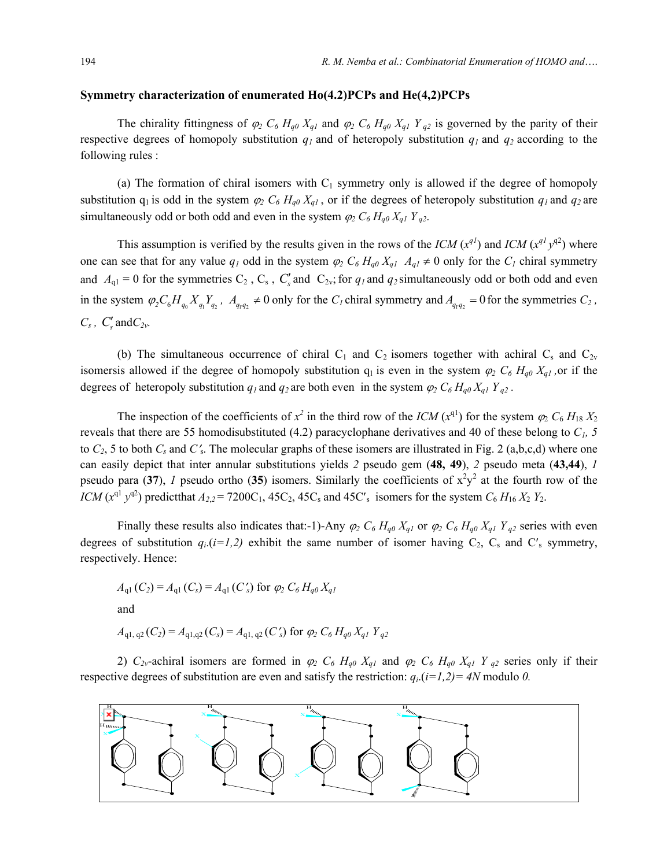### **Symmetry characterization of enumerated Ho(4.2)PCPs and He(4,2)PCPs**

The chirality fittingness of  $\varphi_2$   $C_6$   $H_{q0}$   $X_{q1}$  and  $\varphi_2$   $C_6$   $H_{q0}$   $X_{q1}$   $Y_{q2}$  is governed by the parity of their respective degrees of homopoly substitution  $q_1$  and of heteropoly substitution  $q_1$  and  $q_2$  according to the following rules :

(a) The formation of chiral isomers with  $C_1$  symmetry only is allowed if the degree of homopoly substitution  $q_1$  is odd in the system  $\varphi_2$   $C_6$   $H_{q0}$   $X_{q1}$ , or if the degrees of heteropoly substitution  $q_1$  and  $q_2$  are simultaneously odd or both odd and even in the system  $\varphi_2 C_6 H_{q0} X_{q1} Y_{q2}$ .

This assumption is verified by the results given in the rows of the *ICM*  $(x^{q1})$  and *ICM*  $(x^{q1}y^{q2})$  where one can see that for any value  $q_1$  odd in the system  $\varphi_2 C_6 H_{q0} X_{q1} A_{q1} \neq 0$  only for the  $C_1$  chiral symmetry and  $A_{q1} = 0$  for the symmetries  $C_2$ ,  $C_s$ ,  $C'_s$  and  $C_{2v}$ ; for  $q_1$  and  $q_2$  simultaneously odd or both odd and even in the system  $\varphi_2 C_6 H_{q_0} X_{q_1} Y_{q_2}$ ,  $A_{q_1 q_2} \neq 0$  only for the  $C_l$  chiral symmetry and  $A_{q_1 q_2} = 0$  for the symmetries  $C_2$ ,  $C_s$ ,  $C'_s$  and  $C_{2v}$ .

(b) The simultaneous occurrence of chiral  $C_1$  and  $C_2$  isomers together with achiral  $C_s$  and  $C_{2v}$ isomersis allowed if the degree of homopoly substitution  $q_1$  is even in the system  $\varphi_2$   $C_6$   $H_{q0}$   $X_{q1}$ , or if the degrees of heteropoly substitution  $q_1$  and  $q_2$  are both even in the system  $\varphi_2 C_6 H_{q0} X_{q1} Y_{q2}$ .

The inspection of the coefficients of  $x^2$  in the third row of the *ICM*  $(x^{q1})$  for the system  $\varphi_2$   $C_6$   $H_{18}$   $X_2$ reveals that there are 55 homodisubstituted (4.2) paracyclophane derivatives and 40 of these belong to  $C<sub>1</sub>$ , 5 to  $C_2$ , 5 to both  $C_s$  and  $C'_s$ . The molecular graphs of these isomers are illustrated in Fig. 2 (a,b,c,d) where one can easily depict that inter annular substitutions yields *2* pseudo gem (**48, 49**), *2* pseudo meta (**43,44**), *1* pseudo para (37), *1* pseudo ortho (35) isomers. Similarly the coefficients of  $x^2y^2$  at the fourth row of the *ICM*  $(x^{q_1} y^{q_2})$  predictthat  $A_{2,2} = 7200C_1$ ,  $45C_2$ ,  $45C_s$  and  $45C'_s$  isomers for the system  $C_6 H_{16} X_2 Y_2$ .

Finally these results also indicates that:-1)-Any  $\varphi_2 C_6 H_{q0} X_{q1}$  or  $\varphi_2 C_6 H_{q0} X_{q1} Y_{q2}$  series with even degrees of substitution  $q_i$ .( $i=1,2$ ) exhibit the same number of isomer having  $C_2$ ,  $C_s$  and  $C'_s$  symmetry, respectively. Hence:

$$
A_{q1}(C_2) = A_{q1}(C_s) = A_{q1}(C'_s) \text{ for } \varphi_2 C_6 H_{q0} X_{q1}
$$
  
and

$$
A_{q1, q2}(C_2) = A_{q1, q2}(C_s) = A_{q1, q2}(C'_s)
$$
 for  $\varphi_2 C_6 H_{q0} X_{q1} Y_{q2}$ 

2)  $C_{2v}$ -achiral isomers are formed in  $\varphi_2$   $C_6$   $H_{q0}$   $X_{q1}$  and  $\varphi_2$   $C_6$   $H_{q0}$   $X_{q1}$   $Y_{q2}$  series only if their respective degrees of substitution are even and satisfy the restriction:  $q_i$ .( $i=1,2$ ) = 4N modulo 0.

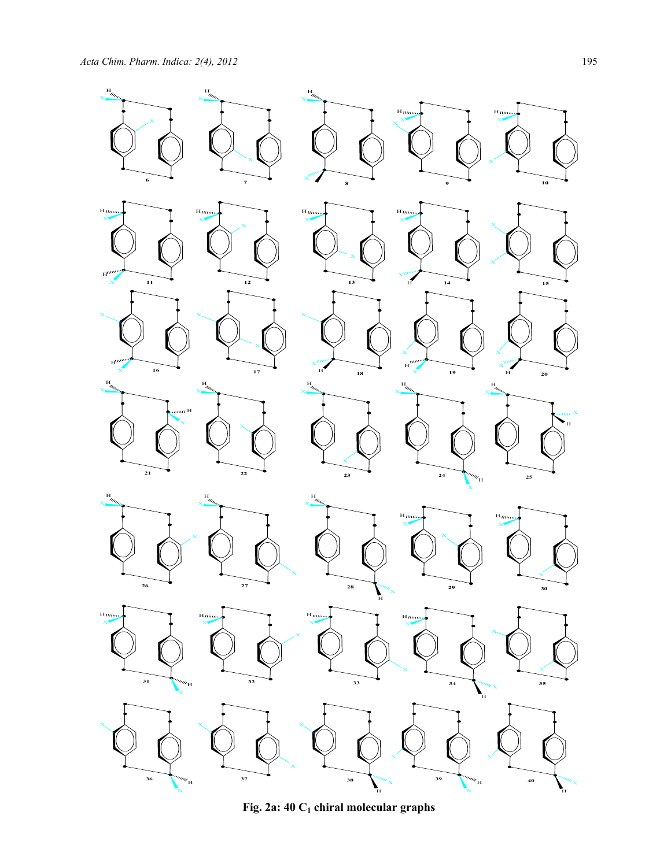

Fig. 2a: 40 C<sub>1</sub> chiral molecular graphs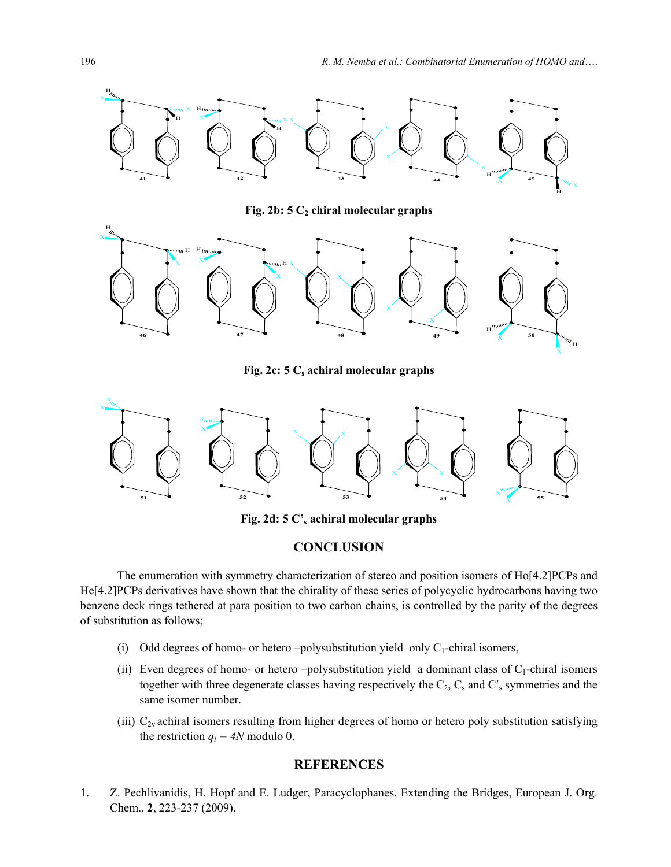

Fig. 2b: 5 C<sub>2</sub> chiral molecular graphs



Fig. 2c: 5 C<sub>s</sub> achiral molecular graphs



**Fig. 2d: 5 C's achiral molecular graphs** 

# **CONCLUSION**

The enumeration with symmetry characterization of stereo and position isomers of Ho[4.2]PCPs and He[4.2]PCPs derivatives have shown that the chirality of these series of polycyclic hydrocarbons having two benzene deck rings tethered at para position to two carbon chains, is controlled by the parity of the degrees of substitution as follows;

- (i) Odd degrees of homo- or hetero –polysubstitution yield only  $C_1$ -chiral isomers,
- (ii) Even degrees of homo- or hetero –polysubstitution yield a dominant class of  $C_1$ -chiral isomers together with three degenerate classes having respectively the  $C_2$ ,  $C_s$  and  $C'$ <sub>s</sub> symmetries and the same isomer number.
- (iii)  $C_{2v}$  achiral isomers resulting from higher degrees of homo or hetero poly substitution satisfying the restriction  $q_i = 4N$  modulo 0.

## **REFERENCES**

1. Z. Pechlivanidis, H. Hopf and E. Ludger, Paracyclophanes, Extending the Bridges, European J. Org. Chem., **2**, 223-237 (2009).